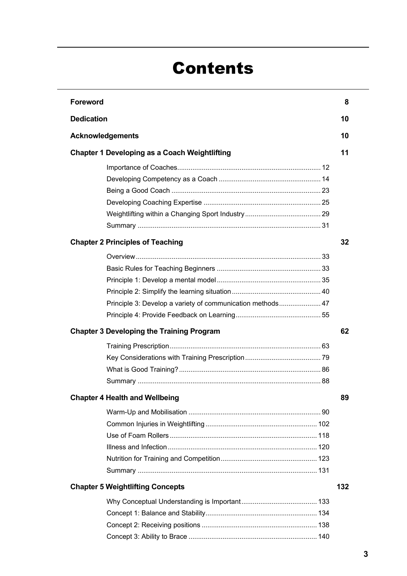# Contents

| <b>Foreword</b>                                            | 8   |
|------------------------------------------------------------|-----|
| <b>Dedication</b>                                          | 10  |
| <b>Acknowledgements</b>                                    | 10  |
| <b>Chapter 1 Developing as a Coach Weightlifting</b>       | 11  |
|                                                            |     |
|                                                            |     |
|                                                            |     |
|                                                            |     |
|                                                            |     |
|                                                            |     |
| <b>Chapter 2 Principles of Teaching</b>                    | 32  |
|                                                            |     |
|                                                            |     |
|                                                            |     |
|                                                            |     |
| Principle 3: Develop a variety of communication methods 47 |     |
|                                                            |     |
| <b>Chapter 3 Developing the Training Program</b>           | 62  |
|                                                            |     |
|                                                            |     |
|                                                            |     |
|                                                            |     |
| <b>Chapter 4 Health and Wellbeing</b>                      | 89  |
|                                                            |     |
|                                                            |     |
|                                                            |     |
|                                                            |     |
|                                                            |     |
|                                                            |     |
| <b>Chapter 5 Weightlifting Concepts</b>                    | 132 |
|                                                            |     |
|                                                            |     |
|                                                            |     |
|                                                            |     |
|                                                            |     |
|                                                            |     |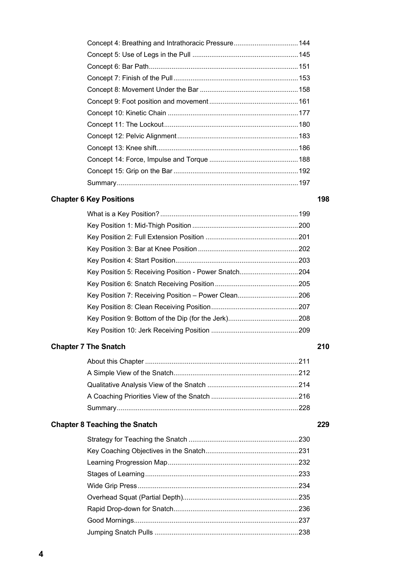### **Chapter 6 Key Positions 198**

| Key Position 5: Receiving Position - Power Snatch204 |  |
|------------------------------------------------------|--|
|                                                      |  |
| Key Position 7: Receiving Position - Power Clean206  |  |
|                                                      |  |
|                                                      |  |
|                                                      |  |

# **Chapter 7 The Snatch 210**

# **Chapter 8 Teaching the Snatch 229 Chapter 8 Teaching the Snatch 229 Chapter 229**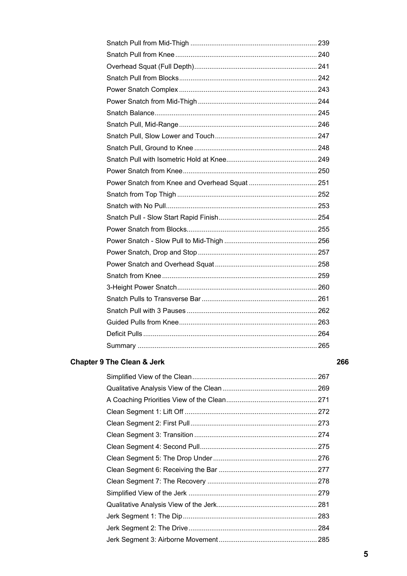### **Chapter 9 The Clean & Jerk**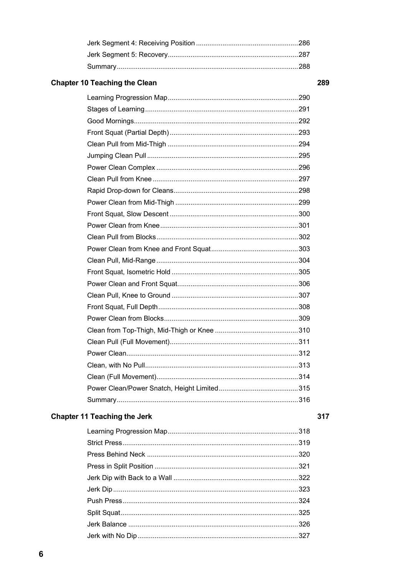$\boldsymbol{6}$ 

# **Chapter 10 Teaching the Clean**

### **Chapter 11 Teaching the Jerk**

### 317

### 289